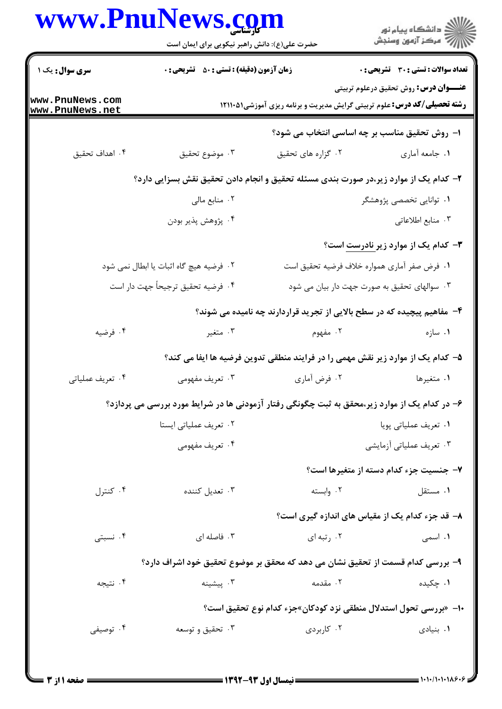|                                    | www.PnuNews.com<br>حضرت علی(ع): دانش راهبر نیکویی برای ایمان است<br><b>زمان آزمون (دقیقه) : تستی : 50 ٪ تشریحی : 0</b> |                                                                                 | ِ<br>∭ دانشڪاه پيام نور<br>∭ مرڪز آزمون وسنڊش<br><b>تعداد سوالات : تستی : 30 ٪ تشریحی : 0</b>                                   |  |
|------------------------------------|------------------------------------------------------------------------------------------------------------------------|---------------------------------------------------------------------------------|---------------------------------------------------------------------------------------------------------------------------------|--|
| <b>سری سوال :</b> یک ۱             |                                                                                                                        |                                                                                 |                                                                                                                                 |  |
| www.PnuNews.com<br>www.PnuNews.net |                                                                                                                        |                                                                                 | <b>عنـــوان درس:</b> روش تحقیق درعلوم تربیتی<br><b>رشته تحصیلی/کد درس:</b> علوم تربیتی گرایش مدیریت و برنامه ریزی آموزشی۱۲۱۱۰۵۱ |  |
|                                    |                                                                                                                        |                                                                                 | ا– روش تحقیق مناسب بر چه اساسی انتخاب می شود؟                                                                                   |  |
| ۰۴ اهداف تحقیق                     | ۰۳ موضوع تحقيق                                                                                                         | ۰۲ گزاره های تحقیق                                                              | ۰۱ جامعه أماري                                                                                                                  |  |
|                                    | ۲- کدام یک از موارد زیر،در صورت بندی مسئله تحقیق و انجام دادن تحقیق نقش بسزایی دارد؟                                   |                                                                                 |                                                                                                                                 |  |
|                                    | ۰۲ منابع مالی                                                                                                          |                                                                                 | ۰۱ توانایی تخصصی پژوهشگر                                                                                                        |  |
|                                    | ۰۴ پژوهش پذیر بودن                                                                                                     |                                                                                 | ٠٣ منابع اطلاعاتي                                                                                                               |  |
|                                    |                                                                                                                        |                                                                                 | <b>۳</b> – کدام یک از موارد زیر <u>نادرست</u> است؟                                                                              |  |
|                                    | ۲. فرضیه هیچ گاه اثبات یا ابطال نمی شود                                                                                |                                                                                 | ٠١ فرض صفر آماري همواره خلاف فرضيه تحقيق است                                                                                    |  |
|                                    | ۴. فرضيه تحقيق ترجيحاً جهت دار است                                                                                     |                                                                                 | ۰۳ سوالهای تحقیق به صورت جهت دار بیان می شود                                                                                    |  |
|                                    |                                                                                                                        | ۴- مفاهیم پیچیده که در سطح بالایی از تجرید قراردارند چه نامیده می شوند؟         |                                                                                                                                 |  |
| ۰۴ فرضیه                           | ۰۳ متغیر                                                                                                               | ۰۲ مفهوم                                                                        | ۰۱ سازه                                                                                                                         |  |
|                                    |                                                                                                                        | ۵– کدام یک از موارد زیر نقش مهمی را در فرایند منطقی تدوین فرضیه ها ایفا می کند؟ |                                                                                                                                 |  |
| ۰۴ تعریف عملیاتی                   | ۰۳ تعریف مفهومی                                                                                                        | ۰۲ فرض آماري                                                                    | ۰۱ متغیرها                                                                                                                      |  |
|                                    | ۶– در کدام یک از موارد زیر،محقق به ثبت چگونگی رفتار آزمودنی ها در شرایط مورد بررسی می پردازد؟                          |                                                                                 |                                                                                                                                 |  |
|                                    | ٢. تعريف عملياتي ايستا                                                                                                 |                                                                                 | ٠١ تعريف عملياتي پويا                                                                                                           |  |
|                                    | ۰۴ تعریف مفهومی                                                                                                        | ۰۳ تعریف عملیاتی آزمایشی                                                        |                                                                                                                                 |  |
|                                    |                                                                                                                        |                                                                                 | ۷- جنسیت جزء کدام دسته از متغیرها است؟                                                                                          |  |
| ۰۴ کنترل                           | ۰۳ تعدیل کننده                                                                                                         | ۰۲ وابسته                                                                       | ٠١ مستقل                                                                                                                        |  |
|                                    |                                                                                                                        |                                                                                 | ۸− قد جزء کدام یک از مقیاس های اندازه گیری است؟                                                                                 |  |
| ۰۴ نسبتی                           | ۰۳ فاصله ای                                                                                                            | ۰۲ رتبه ای                                                                      | ۰۱ اسمی                                                                                                                         |  |
|                                    | ۹– بررسی کدام قسمت از تحقیق نشان می دهد که محقق بر موضوع تحقیق خود اشراف دارد؟                                         |                                                                                 |                                                                                                                                 |  |
| ۰۴ نتيجه                           | ۰۳ پیشینه                                                                                                              | ۰۲ مقدمه                                                                        | ۰۱ چکیده                                                                                                                        |  |
|                                    |                                                                                                                        | ∙ا− «بررسی تحول استدلال منطقی نزد کودکان»جزء کدام نوع تحقیق است؟                |                                                                                                                                 |  |
| ۰۴ توصیفی                          | ۰۳ تحقیق و توسعه                                                                                                       | ۰۲ کاربردی                                                                      | ۰۱ بنیادی                                                                                                                       |  |
|                                    |                                                                                                                        |                                                                                 |                                                                                                                                 |  |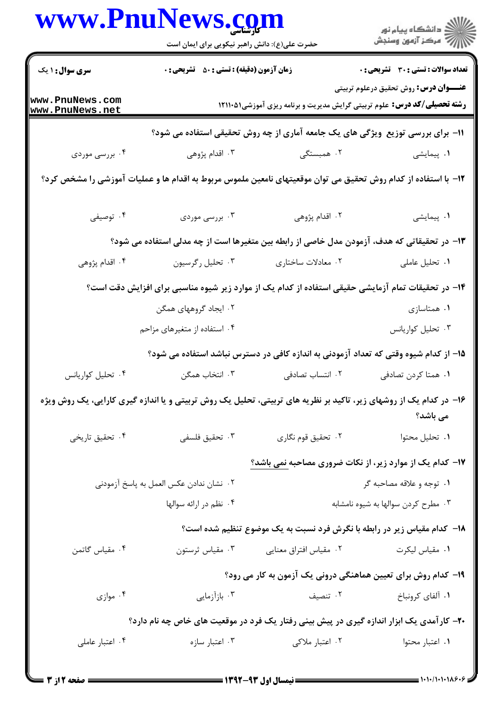|                                                                                 | www.PnuNews.com<br>حضرت علی(ع): دانش راهبر نیکویی برای ایمان است                                                  |                                                               | ر<br>دانشڪاه پيام نور)<br>ا∛ مرڪز آزمون وسنڊش                                                                                   |  |  |
|---------------------------------------------------------------------------------|-------------------------------------------------------------------------------------------------------------------|---------------------------------------------------------------|---------------------------------------------------------------------------------------------------------------------------------|--|--|
| <b>سری سوال : ۱ یک</b>                                                          | <b>زمان آزمون (دقیقه) : تستی : 50 ٪ تشریحی : 0</b>                                                                |                                                               | <b>تعداد سوالات : تستی : 30 ٪ تشریحی : 0</b>                                                                                    |  |  |
| www.PnuNews.com<br>www.PnuNews.net                                              |                                                                                                                   |                                                               | <b>عنـــوان درس:</b> روش تحقیق درعلوم تربیتی<br><b>رشته تحصیلی/کد درس:</b> علوم تربیتی گرایش مدیریت و برنامه ریزی آموزشی۱۲۱۱۰۵۱ |  |  |
| 11- برای بررسی توزیع ًویژگی های یک جامعه آماری از چه روش تحقیقی استفاده می شود؟ |                                                                                                                   |                                                               |                                                                                                                                 |  |  |
| ۰۴ بررسی موردی                                                                  | ۰۳ اقدام پژوهی                                                                                                    | ۰۲ همبستگی                                                    | ۰۱ پیمایشی                                                                                                                      |  |  |
|                                                                                 | ۱۲– با استفاده از کدام روش تحقیق می توان موقعیتهای نامعین ملموس مربوط به اقدام ها و عملیات آموزشی را مشخص کرد؟    |                                                               |                                                                                                                                 |  |  |
| ۰۴ توصیفی                                                                       | ۰۳ بررسی موردی                                                                                                    | ۰۲ اقدام پژوهی                                                | ٠١. پيمايشى                                                                                                                     |  |  |
|                                                                                 | ۱۳– در تحقیقاتی که هدف، آزمودن مدل خاصی از رابطه بین متغیرها است از چه مدلی استفاده می شود؟                       |                                                               |                                                                                                                                 |  |  |
| ۰۴ اقدام پژوهی                                                                  | ۰۳ تحلیل رگرسیون                                                                                                  | ۰۲ معادلات ساختاري                                            | ٠١ تحليل عاملي                                                                                                                  |  |  |
|                                                                                 | ۱۴– در تحقیقات تمام آزمایشی حقیقی استفاده از کدام یک از موارد زیر شیوه مناسبی برای افزایش دقت است؟                |                                                               |                                                                                                                                 |  |  |
|                                                                                 | ۰۲ ایجاد گروههای همگن                                                                                             |                                                               | ۰۱ همتاسازی                                                                                                                     |  |  |
|                                                                                 | ۰۴ استفاده از متغیرهای مزاحم                                                                                      |                                                               | ۰۳ تحلیل کواریانس                                                                                                               |  |  |
|                                                                                 |                                                                                                                   |                                                               | ۱۵– از کدام شیوه وقتی که تعداد آزمودنی به اندازه کافی در دسترس نباشد استفاده می شود؟                                            |  |  |
| ۰۴ تحلیل کواریانس                                                               | ۰۳ انتخاب همگن                                                                                                    | ۰۲ انتساب تصادفی                                              | ٠١ همتا كردن تصادفي                                                                                                             |  |  |
|                                                                                 | ۱۶– در کدام یک از روشهای زیر، تاکید بر نظریه های تربیتی، تحلیل یک روش تربیتی و یا اندازه گیری کارایی، یک روش ویژه |                                                               | می باشد؟                                                                                                                        |  |  |
| ۰۴ تحقیق تاریخی                                                                 | ۰۳ تحقیق فلسفی                                                                                                    | ۰۲ تحقیق قوم نگاری                                            | ٠١ تحليل محتوا                                                                                                                  |  |  |
|                                                                                 |                                                                                                                   |                                                               | <b>۱۷</b> - کدام یک از موارد زیر، از نکات ضروری مصاحبه <u>نمی باشد؟</u>                                                         |  |  |
| ٢. نشان ندادن عكس العمل به پاسخ آزمودنى                                         |                                                                                                                   |                                                               | ۰۱ توجه و علاقه مصاحبه گر                                                                                                       |  |  |
|                                                                                 | ۰۴ نظم در ارائه سوالها                                                                                            |                                                               | ۰۳ مطرح کردن سوالها به شیوه نامشابه                                                                                             |  |  |
|                                                                                 |                                                                                                                   |                                                               | <b>۱۸</b> - کدام مقیاس زیر در رابطه با نگرش فرد نسبت به یک موضوع تنظیم شده است؟                                                 |  |  |
| ۰۴ مقیاس گاتمن                                                                  | ۰۳ مقياس ثرستون                                                                                                   | ۰۲ مقیاس افتراق معنایی                                        | ٠١. مقياس ليكرت                                                                                                                 |  |  |
|                                                                                 |                                                                                                                   | ۱۹- کدام روش برای تعیین هماهنگی درونی یک آزمون به کار می رود؟ |                                                                                                                                 |  |  |
| ۰۴ موازی                                                                        | ۰۳ بازآزمایی                                                                                                      | ۰۲ تنصیف                                                      | ۰۱ آلفای کرونباخ                                                                                                                |  |  |
|                                                                                 | ۲۰- کارآمدی یک ابزار اندازه گیری در پیش بینی رفتار یک فرد در موقعیت های خاص چه نام دارد؟                          |                                                               |                                                                                                                                 |  |  |
| ۰۴ اعتبار عاملی                                                                 | ۰۳ اعتبار سازه                                                                                                    | ۰۲ اعتبار ملاکی                                               | ٠١ اعتبار محتوا                                                                                                                 |  |  |
|                                                                                 |                                                                                                                   |                                                               |                                                                                                                                 |  |  |